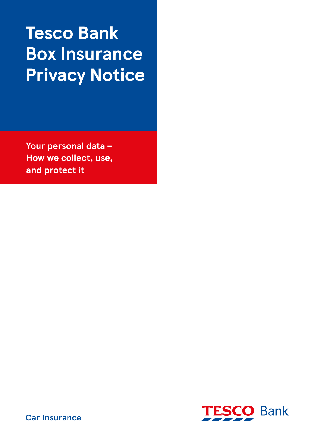# **Tesco Bank Box Insurance Privacy Notice**

**Your personal data – How we collect, use, and protect it**



**Car Insurance**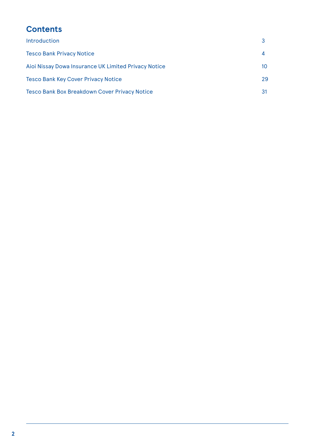# **Contents**

| 10 |
|----|
| 29 |
| 31 |
|    |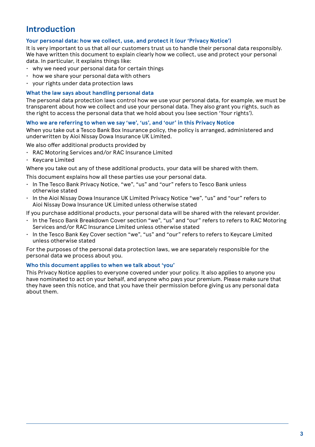# **Introduction**

#### **Your personal data: how we collect, use, and protect it (our 'Privacy Notice')**

It is very important to us that all our customers trust us to handle their personal data responsibly. We have written this document to explain clearly how we collect, use and protect your personal data. In particular, it explains things like:

- why we need your personal data for certain things
- how we share your personal data with others
- your rights under data protection laws

#### **What the law says about handling personal data**

The personal data protection laws control how we use your personal data, for example, we must be transparent about how we collect and use your personal data. They also grant you rights, such as the right to access the personal data that we hold about you (see section 'Your rights').

#### **Who we are referring to when we say 'we', 'us', and 'our' in this Privacy Notice**

When you take out a Tesco Bank Box Insurance policy, the policy is arranged, administered and underwritten by Aioi Nissay Dowa Insurance UK Limited.

We also offer additional products provided by

- RAC Motoring Services and/or RAC Insurance Limited
- Keycare Limited

Where you take out any of these additional products, your data will be shared with them.

This document explains how all these parties use your personal data.

- In The Tesco Bank Privacy Notice, "we", "us" and "our" refers to Tesco Bank unless otherwise stated
- In the Aioi Nissay Dowa Insurance UK Limited Privacy Notice "we", "us" and "our" refers to Aioi Nissay Dowa Insurance UK Limited unless otherwise stated

If you purchase additional products, your personal data will be shared with the relevant provider.

- In the Tesco Bank Breakdown Cover section "we", "us" and "our" refers to refers to RAC Motoring Services and/or RAC Insurance Limited unless otherwise stated
- In the Tesco Bank Key Cover section "we", "us" and "our" refers to refers to Keycare Limited unless otherwise stated

For the purposes of the personal data protection laws, we are separately responsible for the personal data we process about you.

#### **Who this document applies to when we talk about 'you'**

This Privacy Notice applies to everyone covered under your policy. It also applies to anyone you have nominated to act on your behalf, and anyone who pays your premium. Please make sure that they have seen this notice, and that you have their permission before giving us any personal data about them.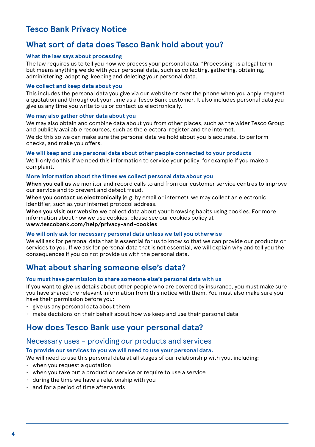# **Tesco Bank Privacy Notice**

## **What sort of data does Tesco Bank hold about you?**

#### **What the law says about processing**

The law requires us to tell you how we process your personal data. "Processing" is a legal term but means anything we do with your personal data, such as collecting, gathering, obtaining, administering, adapting, keeping and deleting your personal data.

#### **We collect and keep data about you**

This includes the personal data you give via our website or over the phone when you apply, request a quotation and throughout your time as a Tesco Bank customer. It also includes personal data you give us any time you write to us or contact us electronically.

#### **We may also gather other data about you**

We may also obtain and combine data about you from other places, such as the wider Tesco Group and publicly available resources, such as the electoral register and the internet. We do this so we can make sure the personal data we hold about you is accurate, to perform checks, and make you offers.

#### **We will keep and use personal data about other people connected to your products**

We'll only do this if we need this information to service your policy, for example if you make a complaint.

#### **More information about the times we collect personal data about you**

**When you call us** we monitor and record calls to and from our customer service centres to improve our service and to prevent and detect fraud.

**When you contact us electronically** (e.g. by email or internet), we may collect an electronic identifier, such as your internet protocol address.

**When you visit our website** we collect data about your browsing habits using cookies. For more information about how we use cookies, please see our cookies policy at **www.tescobank.com/help/privacy-and-cookies**

#### **We will only ask for necessary personal data unless we tell you otherwise**

We will ask for personal data that is essential for us to know so that we can provide our products or services to you. If we ask for personal data that is not essential, we will explain why and tell you the consequences if you do not provide us with the personal data.

### **What about sharing someone else's data?**

#### **You must have permission to share someone else's personal data with us**

If you want to give us details about other people who are covered by insurance, you must make sure you have shared the relevant information from this notice with them. You must also make sure you have their permission before you:

- give us any personal data about them
- make decisions on their behalf about how we keep and use their personal data

### **How does Tesco Bank use your personal data?**

#### Necessary uses – providing our products and services

#### **To provide our services to you we will need to use your personal data.**

We will need to use this personal data at all stages of our relationship with you, including:

- when you request a quotation
- when you take out a product or service or require to use a service
- during the time we have a relationship with you
- and for a period of time afterwards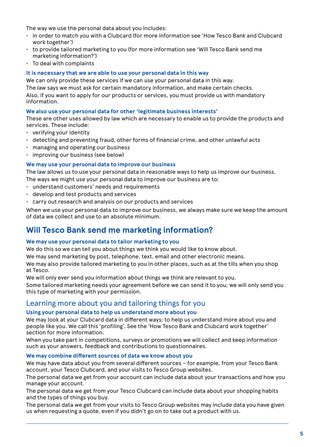The way we use the personal data about you includes:

- in order to match you with a Clubcard (for more information see 'How Tesco Bank and Clubcard work together')
- to provide tailored marketing to you (for more information see 'Will Tesco Bank send me marketing information?')
- To deal with complaints

#### **It is necessary that we are able to use your personal data in this way**

We can only provide these services if we can use your personal data in this way.

The law says we must ask for certain mandatory information, and make certain checks.

Also, if you want to apply for our products or services, you must provide us with mandatory information.

#### **We also use your personal data for other 'legitimate business interests'**

These are other uses allowed by law which are necessary to enable us to provide the products and services. These include:

- verifying your identity
- detecting and preventing fraud, other forms of financial crime, and other unlawful acts
- managing and operating our business
- improving our business (see below)

#### **We may use your personal data to improve our business**

The law allows us to use your personal data in reasonable ways to help us improve our business. The ways we might use your personal data to improve our business are to:

- understand customers' needs and requirements
- develop and test products and services
- carry out research and analysis on our products and services

When we use your personal data to improve our business, we always make sure we keep the amount of data we collect and use to an absolute minimum.

### **Will Tesco Bank send me marketing information?**

#### **We may use your personal data to tailor marketing to you**

We do this so we can tell you about things we think you would like to know about.

We may send marketing by post, telephone, text, email and other electronic means.

We may also provide tailored marketing to you in other places, such as at the tills when you shop at Tesco.

We will only ever send you information about things we think are relevant to you.

Some tailored marketing needs your agreement before we can send it to you; we will only send you this type of marketing with your permission.

### Learning more about you and tailoring things for you

#### **Using your personal data to help us understand more about you**

We may look at your Clubcard data in different ways; to help us understand more about you and people like you. We call this 'profiling'. See the 'How Tesco Bank and Clubcard work together' section for more information.

When you take part in competitions, surveys or promotions we will collect and keep information such as your answers, feedback and contributions to questionnaires.

#### **We may combine different sources of data we know about you**

We may have data about you from several different sources - for example, from your Tesco Bank account, your Tesco Clubcard, and your visits to Tesco Group websites.

The personal data we get from your account can include data about your transactions and how you manage your account.

The personal data we get from your Tesco Clubcard can include data about your shopping habits and the types of things you buy.

The personal data we get from your visits to Tesco Group websites may include data you have given us when requesting a quote, even if you didn't go on to take out a product with us.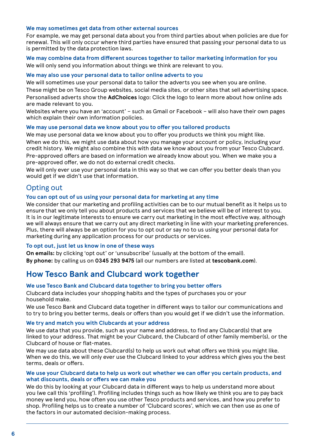#### **We may sometimes get data from other external sources**

For example, we may get personal data about you from third parties about when policies are due for renewal. This will only occur where third parties have ensured that passing your personal data to us is permitted by the data protection laws.

**We may combine data from different sources together to tailor marketing information for you** We will only send you information about things we think are relevant to you.

#### **We may also use your personal data to tailor online adverts to you**

We will sometimes use your personal data to tailor the adverts you see when you are online. These might be on Tesco Group websites, social media sites, or other sites that sell advertising space.

Personalised adverts show the **AdChoices** logo: Click the logo to learn more about how online ads are made relevant to you.

Websites where you have an 'account' – such as Gmail or Facebook – will also have their own pages which explain their own information policies.

#### **We may use personal data we know about you to offer you tailored products**

We may use personal data we know about you to offer you products we think you might like. When we do this, we might use data about how you manage your account or policy, including your credit history. We might also combine this with data we know about you from your Tesco Clubcard.

Pre-approved offers are based on information we already know about you. When we make you a pre-approved offer, we do not do external credit checks.

We will only ever use your personal data in this way so that we can offer you better deals than you would get if we didn't use that information.

### Opting out

#### **You can opt out of us using your personal data for marketing at any time**

We consider that our marketing and profiling activities can be to our mutual benefit as it helps us to ensure that we only tell you about products and services that we believe will be of interest to you. It is in our legitimate interests to ensure we carry out marketing in the most effective way, although we will always ensure that we carry out any direct marketing in line with your marketing preferences. Plus, there will always be an option for you to opt out or say no to us using your personal data for marketing during any application process for our products or services.

#### **To opt out, just let us know in one of these ways**

**On emails:** by clicking 'opt out' or 'unsubscribe' (usually at the bottom of the email).

**By phone:** by calling us on **0345 293 9475** (all our numbers are listed at **tescobank.com**).

### **How Tesco Bank and Clubcard work together**

#### **We use Tesco Bank and Clubcard data together to bring you better offers**

Clubcard data includes your shopping habits and the types of purchases you or your household make.

We use Tesco Bank and Clubcard data together in different ways to tailor our communications and to try to bring you better terms, deals or offers than you would get if we didn't use the information.

#### **We try and match you with Clubcards at your address**

We use data that you provide, such as your name and address, to find any Clubcard(s) that are linked to your address. That might be your Clubcard, the Clubcard of other family member(s), or the Clubcard of house or flat-mates.

We may use data about these Clubcard(s) to help us work out what offers we think you might like. When we do this, we will only ever use the Clubcard linked to your address which gives you the best terms, deals or offers.

#### **We use your Clubcard data to help us work out whether we can offer you certain products, and what discounts, deals or offers we can make you**

We do this by looking at your Clubcard data in different ways to help us understand more about you (we call this 'profiling'). Profiling includes things such as how likely we think you are to pay back money we lend you, how often you use other Tesco products and services, and how you prefer to shop. Profiling helps us to create a number of 'Clubcard scores', which we can then use as one of the factors in our automated decision-making process.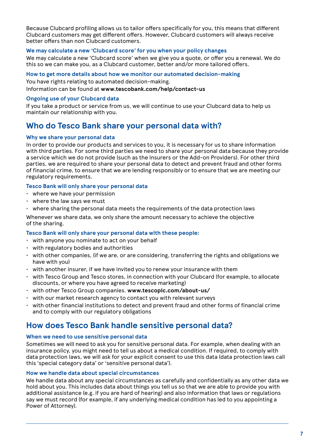Because Clubcard profiling allows us to tailor offers specifically for you, this means that different Clubcard customers may get different offers. However, Clubcard customers will always receive better offers than non Clubcard customers.

#### **We may calculate a new 'Clubcard score' for you when your policy changes**

We may calculate a new 'Clubcard score' when we give you a quote, or offer you a renewal. We do this so we can make you, as a Clubcard customer, better and/or more tailored offers.

#### **How to get more details about how we monitor our automated decision-making**

You have rights relating to automated decision-making.

Information can be found at **www.tescobank.com/help/contact-us**

#### **Ongoing use of your Clubcard data**

If you take a product or service from us, we will continue to use your Clubcard data to help us maintain our relationship with you.

### **Who do Tesco Bank share your personal data with?**

#### **Why we share your personal data**

In order to provide our products and services to you, it is necessary for us to share information with third parties. For some third parties we need to share your personal data because they provide a service which we do not provide (such as the Insurers or the Add-on Providers). For other third parties, we are required to share your personal data to detect and prevent fraud and other forms of financial crime, to ensure that we are lending responsibly or to ensure that we are meeting our regulatory requirements.

#### **Tesco Bank will only share your personal data**

- where we have your permission
- where the law says we must
- where sharing the personal data meets the requirements of the data protection laws

Whenever we share data, we only share the amount necessary to achieve the objective of the sharing.

#### **Tesco Bank will only share your personal data with these people:**

- $\cdot$  with anyone you nominate to act on your behalf
- with regulatory bodies and authorities
- with other companies, (if we are, or are considering, transferring the rights and obligations we have with you)
- with another insurer, if we have invited you to renew your insurance with them
- with Tesco Group and Tesco stores, in connection with your Clubcard (for example, to allocate discounts, or where you have agreed to receive marketing)
- with other Tesco Group companies. **www.tescoplc.com/about-us/**
- with our market research agency to contact you with relevant surveys
- with other financial institutions to detect and prevent fraud and other forms of financial crime and to comply with our regulatory obligations

### **How does Tesco Bank handle sensitive personal data?**

#### **When we need to use sensitive personal data**

Sometimes we will need to ask you for sensitive personal data. For example, when dealing with an insurance policy, you might need to tell us about a medical condition. If required, to comply with data protection laws, we will ask for your explicit consent to use this data (data protection laws call this 'special category data' or 'sensitive personal data').

#### **How we handle data about special circumstances**

We handle data about any special circumstances as carefully and confidentially as any other data we hold about you. This includes data about things you tell us so that we are able to provide you with additional assistance (e.g. if you are hard of hearing) and also information that laws or regulations say we must record (for example, if any underlying medical condition has led to you appointing a Power of Attorney).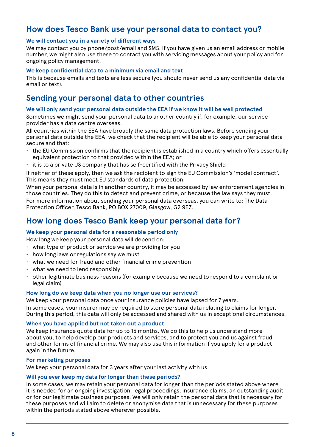### **How does Tesco Bank use your personal data to contact you?**

#### **We will contact you in a variety of different ways**

We may contact you by phone/post/email and SMS. If you have given us an email address or mobile number, we might also use these to contact you with servicing messages about your policy and for ongoing policy management.

#### **We keep confidential data to a minimum via email and text**

This is because emails and texts are less secure (you should never send us any confidential data via email or text).

### **Sending your personal data to other countries**

#### **We will only send your personal data outside the EEA if we know it will be well protected**

Sometimes we might send your personal data to another country if, for example, our service provider has a data centre overseas.

All countries within the EEA have broadly the same data protection laws. Before sending your personal data outside the EEA, we check that the recipient will be able to keep your personal data secure and that:

- the EU Commission confirms that the recipient is established in a country which offers essentially equivalent protection to that provided within the EEA; or
- it is to a private US company that has self-certified with the Privacy Shield

If neither of these apply, then we ask the recipient to sign the EU Commission's 'model contract'. This means they must meet EU standards of data protection.

When your personal data is in another country, it may be accessed by law enforcement agencies in those countries. They do this to detect and prevent crime, or because the law says they must. For more information about sending your personal data overseas, you can write to: The Data Protection Officer, Tesco Bank, PO BOX 27009, Glasgow, G2 9EZ.

### **How long does Tesco Bank keep your personal data for?**

#### **We keep your personal data for a reasonable period only**

How long we keep your personal data will depend on:

- what type of product or service we are providing for you
- how long laws or regulations say we must
- what we need for fraud and other financial crime prevention
- what we need to lend responsibly
- other legitimate business reasons (for example because we need to respond to a complaint or legal claim)

#### **How long do we keep data when you no longer use our services?**

We keep your personal data once your insurance policies have lapsed for 7 years.

In some cases, your insurer may be required to store personal data relating to claims for longer. During this period, this data will only be accessed and shared with us in exceptional circumstances.

#### **When you have applied but not taken out a product**

We keep insurance quote data for up to 15 months. We do this to help us understand more about you, to help develop our products and services, and to protect you and us against fraud and other forms of financial crime. We may also use this information if you apply for a product again in the future.

#### **For marketing purposes**

We keep your personal data for 3 years after your last activity with us.

#### **Will you ever keep my data for longer than these periods?**

In some cases, we may retain your personal data for longer than the periods stated above where it is needed for an ongoing investigation, legal proceedings, insurance claims, an outstanding audit or for our legitimate business purposes. We will only retain the personal data that is necessary for these purposes and will aim to delete or anonymise data that is unnecessary for these purposes within the periods stated above wherever possible.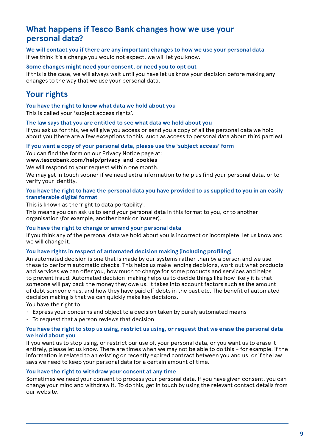## **What happens if Tesco Bank changes how we use your personal data?**

**We will contact you if there are any important changes to how we use your personal data** If we think it's a change you would not expect, we will let you know.

#### **Some changes might need your consent, or need you to opt out**

If this is the case, we will always wait until you have let us know your decision before making any changes to the way that we use your personal data.

# **Your rights**

**You have the right to know what data we hold about you** 

This is called your 'subject access rights'.

#### **The law says that you are entitled to see what data we hold about you**

If you ask us for this, we will give you access or send you a copy of all the personal data we hold about you (there are a few exceptions to this, such as access to personal data about third parties).

#### **If you want a copy of your personal data, please use the 'subject access' form**

You can find the form on our Privacy Notice page at:

#### **www.tescobank.com/help/privacy-and-cookies**

We will respond to your request within one month.

We may get in touch sooner if we need extra information to help us find your personal data, or to verify your identity.

#### **You have the right to have the personal data you have provided to us supplied to you in an easily transferable digital format**

This is known as the 'right to data portability'.

This means you can ask us to send your personal data in this format to you, or to another organisation (for example, another bank or insurer).

#### **You have the right to change or amend your personal data**

If you think any of the personal data we hold about you is incorrect or incomplete, let us know and we will change it.

#### **You have rights in respect of automated decision making (including profiling)**

An automated decision is one that is made by our systems rather than by a person and we use these to perform automatic checks. This helps us make lending decisions, work out what products and services we can offer you, how much to charge for some products and services and helps to prevent fraud. Automated decision-making helps us to decide things like how likely it is that someone will pay back the money they owe us. It takes into account factors such as the amount of debt someone has, and how they have paid off debts in the past etc. The benefit of automated decision making is that we can quickly make key decisions.

You have the right to:

- Express your concerns and object to a decision taken by purely automated means
- $\cdot$  To request that a person reviews that decision

#### **You have the right to stop us using, restrict us using, or request that we erase the personal data we hold about you**

If you want us to stop using, or restrict our use of, your personal data, or you want us to erase it entirely, please let us know. There are times when we may not be able to do this – for example, if the information is related to an existing or recently expired contract between you and us, or if the law says we need to keep your personal data for a certain amount of time.

#### **You have the right to withdraw your consent at any time**

Sometimes we need your consent to process your personal data. If you have given consent, you can change your mind and withdraw it. To do this, get in touch by using the relevant contact details from our website.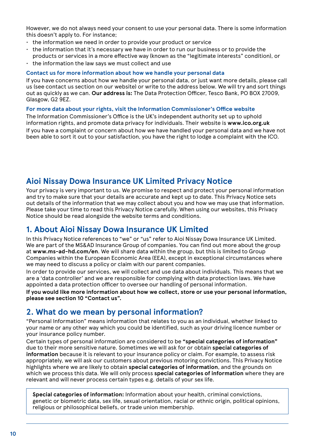However, we do not always need your consent to use your personal data. There is some information this doesn't apply to. For instance;

- the information we need in order to provide your product or service
- the information that it's necessary we have in order to run our business or to provide the products or services in a more effective way (known as the "legitimate interests" condition), or
- the information the law says we must collect and use

#### **Contact us for more information about how we handle your personal data**

If you have concerns about how we handle your personal data, or just want more details, please call us (see contact us section on our website) or write to the address below. We will try and sort things out as quickly as we can. **Our address is:** The Data Protection Officer, Tesco Bank, PO BOX 27009, Glasgow, G2 9EZ.

#### **For more data about your rights, visit the Information Commissioner's Office website**

The Information Commissioner's Office is the UK's independent authority set up to uphold information rights, and promote data privacy for individuals. Their website is **www.ico.org.uk** If you have a complaint or concern about how we have handled your personal data and we have not been able to sort it out to your satisfaction, you have the right to lodge a complaint with the ICO.

## **Aioi Nissay Dowa Insurance UK Limited Privacy Notice**

Your privacy is very important to us. We promise to respect and protect your personal information and try to make sure that your details are accurate and kept up to date. This Privacy Notice sets out details of the information that we may collect about you and how we may use that information. Please take your time to read this Privacy Notice carefully. When using our websites, this Privacy Notice should be read alongside the website terms and conditions.

### **1. About Aioi Nissay Dowa Insurance UK Limited**

In this Privacy Notice references to "we" or "us" refer to Aioi Nissay Dowa Insurance UK Limited. We are part of the MS&AD Insurance Group of companies. You can find out more about the group at **www.ms-ad-hd.com/en**. We will share data within the group, but this is limited to Group Companies within the European Economic Area (EEA), except in exceptional circumstances where we may need to discuss a policy or claim with our parent companies.

In order to provide our services, we will collect and use data about individuals. This means that we are a 'data controller' and we are responsible for complying with data protection laws. We have appointed a data protection officer to oversee our handling of personal information.

**If you would like more information about how we collect, store or use your personal information, please see section 10 "Contact us".**

### **2. What do we mean by personal information?**

"Personal Information" means information that relates to you as an individual, whether linked to your name or any other way which you could be identified, such as your driving licence number or your insurance policy number.

Certain types of personal information are considered to be **"special categories of information"** due to their more sensitive nature. Sometimes we will ask for or obtain **special categories of information** because it is relevant to your insurance policy or claim. For example, to assess risk appropriately, we will ask our customers about previous motoring convictions. This Privacy Notice highlights where we are likely to obtain **special categories of information**, and the grounds on which we process this data. We will only process **special categories of information** where they are relevant and will never process certain types e.g. details of your sex life.

**Special categories of information:** Information about your health, criminal convictions, genetic or biometric data, sex life, sexual orientation, racial or ethnic origin, political opinions, religious or philosophical beliefs, or trade union membership.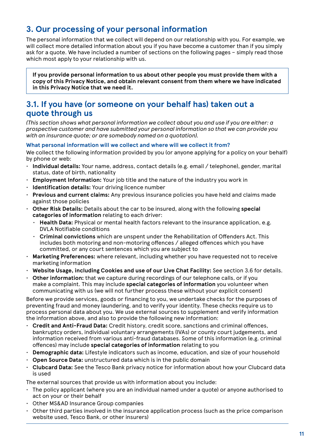# **3. Our processing of your personal information**

The personal information that we collect will depend on our relationship with you. For example, we will collect more detailed information about you if you have become a customer than if you simply ask for a quote. We have included a number of sections on the following pages – simply read those which most apply to your relationship with us.

**If you provide personal information to us about other people you must provide them with a copy of this Privacy Notice, and obtain relevant consent from them where we have indicated in this Privacy Notice that we need it.**

### **3.1. If you have (or someone on your behalf has) taken out a quote through us**

*(This section shows what personal information we collect about you and use if you are either: a prospective customer and have submitted your personal information so that we can provide you with an insurance quote; or are somebody named on a quotation).*

#### **What personal information will we collect and where will we collect it from?**

We collect the following information provided by you (or anyone applying for a policy on your behalf) by phone or web:

- **Individual details:** Your name, address, contact details (e.g. email / telephone), gender, marital status, date of birth, nationality
- **Employment Information:** Your job title and the nature of the industry you work in
- **Identification details:** Your driving licence number
- **Previous and current claims:** Any previous insurance policies you have held and claims made against those policies
- **Other Risk Details:** Details about the car to be insured, along with the following **special categories of information** relating to each driver:
	- **Health Data:** Physical or mental health factors relevant to the insurance application, e.g. DVLA Notifiable conditions
	- **Criminal convictions** which are unspent under the Rehabilitation of Offenders Act. This includes both motoring and non-motoring offences / alleged offences which you have committed, or any court sentences which you are subject to
- **Marketing Preferences:** where relevant, including whether you have requested not to receive marketing information
- **Website Usage, including Cookies and use of our Live Chat Facility:** See section 3.6 for details.
- **Other information:** that we capture during recordings of our telephone calls, or if you make a complaint. This may include **special categories of information** you volunteer when communicating with us (we will not further process these without your explicit consent)

Before we provide services, goods or financing to you, we undertake checks for the purposes of preventing fraud and money laundering, and to verify your identity. These checks require us to process personal data about you. We use external sources to supplement and verify information the information above, and also to provide the following new information:

- **Credit and Anti-Fraud Data:** Credit history, credit score, sanctions and criminal offences, bankruptcy orders, individual voluntary arrangements (IVAs) or county court judgements, and information received from various anti-fraud databases. Some of this information (e.g. criminal offences) may include **special categories of information** relating to you
- **Demographic data:** Lifestyle indicators such as income, education, and size of your household
- **Open Source Data:** unstructured data which is in the public domain
- **Clubcard Data:** See the Tesco Bank privacy notice for information about how your Clubcard data is used

The external sources that provide us with information about you include:

- The policy applicant (where you are an individual named under a quote) or anyone authorised to act on your or their behalf
- Other MS&AD Insurance Group companies
- Other third parties involved in the insurance application process (such as the price comparison website used, Tesco Bank, or other insurers)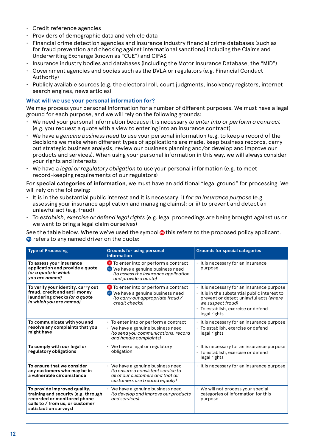- Credit reference agencies
- Providers of demographic data and vehicle data
- Financial crime detection agencies and insurance industry financial crime databases (such as for fraud prevention and checking against international sanctions) including the Claims and Underwriting Exchange (known as "CUE") and CIFAS
- Insurance industry bodies and databases (including the Motor Insurance Database, the "MID")
- Government agencies and bodies such as the DVLA or regulators (e.g. Financial Conduct Authority)
- Publicly available sources (e.g. the electoral roll, court judgments, insolvency registers, internet search engines, news articles)

#### **What will we use your personal information for?**

We may process your personal information for a number of different purposes. We must have a legal ground for each purpose, and we will rely on the following grounds:

- We need your personal information because it is necessary *to enter into or perform a contract* (e.g. you request a quote with a view to entering into an insurance contract)
- We have a *genuine business need* to use your personal information (e.g. to keep a record of the decisions we make when different types of applications are made, keep business records, carry out strategic business analysis, review our business planning and/or develop and improve our products and services). When using your personal information in this way, we will always consider your rights and interests
- We have a *legal or regulatory obligation* to use your personal information (e.g. to meet record-keeping requirements of our regulators)

For **special categories of information**, we must have an additional "legal ground" for processing. We will rely on the following:

- It is in the substantial public interest and it is necessary: i) *for an insurance purpose* (e.g. assessing your insurance application and managing claims); or ii) to prevent and detect an unlawful act (e.g. fraud)
- To *establish, exercise or defend legal rights* (e.g. legal proceedings are being brought against us or we want to bring a legal claim ourselves)

See the table below. Where we've used the symbol **@** this refers to the proposed policy applicant. **D** refers to any named driver on the quote:

| <b>Type of Processing</b>                                                                                                                                      | <b>Grounds for using personal</b><br>information                                                                                                          | <b>Grounds for special categories</b>                                                                                                                                                                                |
|----------------------------------------------------------------------------------------------------------------------------------------------------------------|-----------------------------------------------------------------------------------------------------------------------------------------------------------|----------------------------------------------------------------------------------------------------------------------------------------------------------------------------------------------------------------------|
| To assess your insurance<br>application and provide a quote<br>(or a quote in which<br>you are named)                                                          | <b>PD</b> To enter into or perform a contract<br><b>D</b> We have a genuine business need<br>(to assess the insurance application<br>and provide a quote) | · It is necessary for an insurance<br>purpose                                                                                                                                                                        |
| To verify your identity, carry out<br>fraud, credit and anti-money<br>laundering checks (or a quote<br>in which you are named)                                 | <b>PH</b> To enter into or perform a contract<br>We have a genuine business need<br><b>ND</b><br>(to carry out appropriate fraud /<br>credit checks)      | • It is necessary for an insurance purpose<br>It is in the substantial public interest to<br>prevent or detect unlawful acts (where<br>we suspect fraud)<br>$\cdot$ To establish, exercise or defend<br>legal rights |
| To communicate with you and<br>resolve any complaints that you<br>might have                                                                                   | $\cdot$ To enter into or perform a contract<br>· We have a genuine business need<br>(to send you communications, record<br>and handle complaints)         | · It is necessary for an insurance purpose<br>$\cdot$ To establish, exercise or defend<br>legal rights                                                                                                               |
| To comply with our legal or<br>regulatory obligations                                                                                                          | $\cdot$ We have a legal or regulatory<br>obligation                                                                                                       | · It is necessary for an insurance purpose<br>· To establish, exercise or defend<br>legal rights                                                                                                                     |
| To ensure that we consider<br>any customers who may be in<br>a vulnerable circumstance                                                                         | $\cdot$ We have a genuine business need<br>(to ensure a consistent service to<br>all of our customers and that all<br>customers are treated equally)      | . It is necessary for an insurance purpose                                                                                                                                                                           |
| To provide improved quality,<br>training and security (e.g. through<br>recorded or monitored phone<br>calls to / from us, or customer<br>satisfaction surveys) | $\cdot$ We have a genuine business need<br>(to develop and improve our products<br>and services)                                                          | • We will not process your special<br>categories of information for this<br>purpose                                                                                                                                  |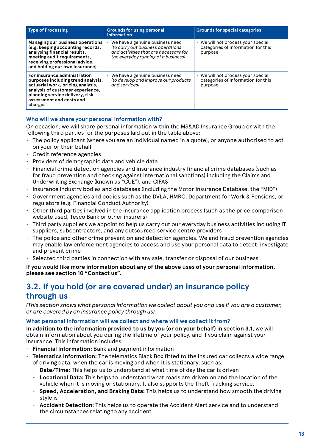| <b>Type of Processing</b>                                                                                                                                                                                             | <b>Grounds for using personal</b><br>information                                                                                                     | <b>Grounds for special categories</b>                                               |
|-----------------------------------------------------------------------------------------------------------------------------------------------------------------------------------------------------------------------|------------------------------------------------------------------------------------------------------------------------------------------------------|-------------------------------------------------------------------------------------|
| Managing our business operations<br>(e.g. keeping accounting records,<br>analysing financial results,<br>meeting audit requirements,<br>receiving professional advice,<br>and holding our own insurance)              | We have a genuine business need<br>(to carry out business operations<br>and activities that are necessary for<br>the everyday running of a business) | • We will not process your special<br>categories of information for this<br>purpose |
| For insurance administration<br>purposes including trend analysis,<br>actuarial work, pricing analysis,<br>analysis of customer experience,<br>planning service delivery, risk<br>assessment and costs and<br>charges | We have a genuine business need<br>(to develop and improve our products<br>and services)                                                             | • We will not process your special<br>categories of information for this<br>purpose |

#### **Who will we share your personal information with?**

On occasion, we will share personal information within the MS&AD Insurance Group or with the following third parties for the purposes laid out in the table above:

- The policy applicant (where you are an individual named in a quote), or anyone authorised to act on your or their behalf
- Credit reference agencies
- Providers of demographic data and vehicle data
- Financial crime detection agencies and insurance industry financial crime databases (such as for fraud prevention and checking against international sanctions) including the Claims and Underwriting Exchange (known as "CUE"), and CIFAS
- Insurance industry bodies and databases (including the Motor Insurance Database, the "MID")
- Government agencies and bodies such as the DVLA, HMRC, Department for Work & Pensions, or regulators (e.g. Financial Conduct Authority)
- Other third parties involved in the insurance application process (such as the price comparison website used, Tesco Bank or other insurers)
- Third party suppliers we appoint to help us carry out our everyday business activities including IT suppliers, subcontractors, and any outsourced service centre providers
- The police and other crime prevention and detection agencies. We and fraud prevention agencies may enable law enforcement agencies to access and use your personal data to detect, investigate and prevent crime
- Selected third parties in connection with any sale, transfer or disposal of our business

**If you would like more information about any of the above uses of your personal information, please see section 10 "Contact us".**

## **3.2. If you hold (or are covered under) an insurance policy through us**

*(This section shows what personal information we collect about you and use if you are a customer, or are covered by an insurance policy through us).*

#### **What personal information will we collect and where will we collect it from?**

**In addition to the information provided to us by you (or on your behalf) in section 3.1**, we will obtain information about you during the lifetime of your policy, and if you claim against your insurance. This information includes:

- **Financial Information:** Bank and payment information
- **Telematics Information:** The telematics Black Box fitted to the insured car collects a wide range of driving data, when the car is moving and when it is stationary, such as:
	- **Date/Time:** This helps us to understand at what time of day the car is driven
	- **Locational Data:** This helps to understand what roads are driven on and the location of the vehicle when it is moving or stationary. It also supports the Theft Tracking service.
	- **Speed, Acceleration, and Braking Data:** This helps us to understand how smooth the driving style is
	- **Accident Detection:** This helps us to operate the Accident Alert service and to understand the circumstances relating to any accident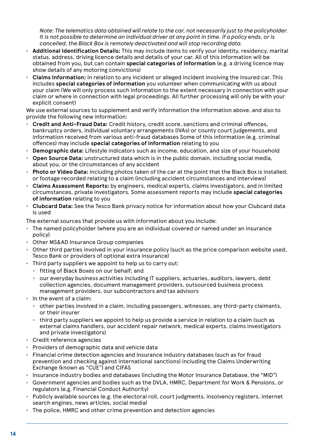*Note: The telematics data obtained will relate to the car, not necessarily just to the policyholder. It is not possible to determine an individual driver at any point in time. If a policy ends, or is cancelled, the Black Box is remotely deactivated and will stop recording data.*

- **Additional Identification Details:** This may include items to verify your identity, residency, marital status, address, driving licence details and details of your car. All of this information will be obtained from you, but can contain **special categories of information** (e.g. a driving licence may show details of any motoring convictions)
- **Claims Information:** In relation to any incident or alleged incident involving the insured car. This includes **special categories of information** you volunteer when communicating with us about your claim (We will only process such information to the extent necessary in connection with your claim or where in connection with legal proceedings. All further processing will only be with your explicit consent)

We use external sources to supplement and verify information the information above, and also to provide the following new information:

- **Credit and Anti-Fraud Data:** Credit history, credit score, sanctions and criminal offences, bankruptcy orders, individual voluntary arrangements (IVAs) or county court judgements, and information received from various anti-fraud databases Some of this information (e.g. criminal offences) may include **special categories of information** relating to you
- **Demographic data:** Lifestyle indicators such as income, education, and size of your household
- **Open Source Data:** unstructured data which is in the public domain, including social media, about you, or the circumstances of any accident
- **Photo or Video Data:** including photos taken of the car at the point that the Black Box is installed; or footage recorded relating to a claim (including accident circumstances and interviews)
- **Claims Assessment Reports:** by engineers, medical experts, claims investigators, and in limited circumstances, private investigators. Some assessment reports may include **special categories of information** relating to you
- **Clubcard Data:** See the Tesco Bank privacy notice for information about how your Clubcard data is used

The external sources that provide us with information about you include:

- The named policyholder (where you are an individual covered or named under an insurance policy)
- Other MS&AD Insurance Group companies
- Other third parties involved in your insurance policy (such as the price comparison website used, Tesco Bank or providers of optional extra insurance)
- Third party suppliers we appoint to help us to carry out:
	- fitting of Black Boxes on our behalf; and
	- our everyday business activities including IT suppliers, actuaries, auditors, lawyers, debt collection agencies, document management providers, outsourced business process management providers, our subcontractors and tax advisors
- $\cdot$  In the event of a claim:
	- other parties involved in a claim, including passengers, witnesses, any third-party claimants, or their insurer
	- third party suppliers we appoint to help us provide a service in relation to a claim (such as external claims handlers, our accident repair network, medical experts, claims investigators and private investigators)
- Credit reference agencies
- Providers of demographic data and vehicle data
- Financial crime detection agencies and insurance industry databases (such as for fraud prevention and checking against international sanctions) including the Claims Underwriting Exchange (known as "CUE") and CIFAS
- Insurance industry bodies and databases (including the Motor Insurance Database, the "MID")
- Government agencies and bodies such as the DVLA, HMRC, Department for Work & Pensions, or regulators (e.g. Financial Conduct Authority)
- Publicly available sources (e.g. the electoral roll, court judgments, insolvency registers, internet search engines, news articles, social media)
- The police, HMRC and other crime prevention and detection agencies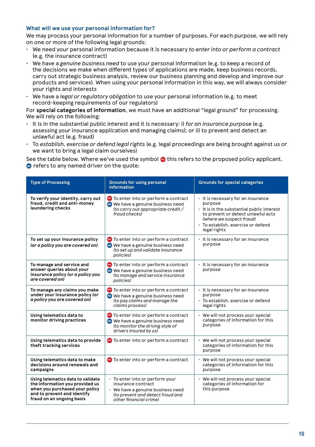#### **What will we use your personal information for?**

We may process your personal information for a number of purposes. For each purpose, we will rely on one or more of the following legal grounds:

- We need your personal information because it is necessary *to enter into or perform a contract* (e.g. the insurance contract)
- We have a *genuine business need* to use your personal information (e.g. to keep a record of the decisions we make when different types of applications are made, keep business records, carry out strategic business analysis, review our business planning and develop and improve our products and services). When using your personal information in this way, we will always consider your rights and interests
- We have a *legal or regulatory obligation* to use your personal information (e.g. to meet record-keeping requirements of our regulators)

For **special categories of information**, we must have an additional "legal ground" for processing. We will rely on the following:

- It is in the substantial public interest and it is necessary: i) *for an insurance purpose* (e.g. assessing your insurance application and managing claims); or ii) to prevent and detect an unlawful act (e.g. fraud)
- To *establish, exercise or defend legal rights* (e.g. legal proceedings are being brought against us or we want to bring a legal claim ourselves)

See the table below. Where we've used the symbol **@** this refers to the proposed policy applicant. **D** refers to any named driver on the quote:

| <b>Type of Processing</b>                                                                                                                                          | <b>Grounds for using personal</b><br>information                                                                                                        | <b>Grounds for special categories</b>                                                                                                                                                                               |
|--------------------------------------------------------------------------------------------------------------------------------------------------------------------|---------------------------------------------------------------------------------------------------------------------------------------------------------|---------------------------------------------------------------------------------------------------------------------------------------------------------------------------------------------------------------------|
| To verify your identity, carry out<br>fraud, credit and anti-money<br>laundering checks                                                                            | <b>PH</b> To enter into or perform a contract<br>We have a genuine business need<br>(to carry out appropriate credit /<br>fraud checks)                 | · It is necessary for an insurance<br>purpose<br>. It is in the substantial public interest<br>to prevent or detect unlawful acts<br>(where we suspect fraud)<br>· To establish, exercise or defend<br>legal rights |
| To set up your insurance policy<br>(or a policy you are covered on)                                                                                                | <b>CD</b> To enter into or perform a contract<br>We have a genuine business need<br>(to set up and validate insurance<br>policies)                      | · It is necessary for an insurance<br>purpose                                                                                                                                                                       |
| To manage and service and<br>answer queries about your<br>insurance policy (or a policy you<br>are covered on)                                                     | <b>CD</b> To enter into or perform a contract<br>We have a genuine business need<br>(to manage and service insurance<br>policies)                       | · It is necessary for an insurance<br>purpose                                                                                                                                                                       |
| To manage any claims you make<br>under your insurance policy (or<br>a policy you are covered on)                                                                   | <b>PH</b> To enter into or perform a contract<br><b>OD</b> We have a genuine business need<br>(to pay claims and manage the<br>claims process)          | · It is necessary for an insurance<br>purpose<br>· To establish, exercise or defend<br>legal rights                                                                                                                 |
| Using telematics data to<br>monitor driving practices                                                                                                              | <b>CD</b> To enter into or perform a contract<br><b>D</b> We have a genuine business need<br>(to monitor the driving style of<br>drivers insured by us) | We will not process your special<br>categories of information for this<br>purpose                                                                                                                                   |
| Using telematics data to provide<br>theft tracking services                                                                                                        | <b>CD</b> To enter into or perform a contract                                                                                                           | • We will not process your special<br>categories of information for this<br>purpose                                                                                                                                 |
| Using telematics data to make<br>decisions around renewals and<br>campaigns                                                                                        | <b>CD</b> To enter into or perform a contract                                                                                                           | • We will not process your special<br>categories of information for this<br>purpose                                                                                                                                 |
| Using telematics data to validate<br>the information you provided us<br>when you purchased your policy<br>and to prevent and identify<br>fraud on an ongoing basis | · To enter into or perform your<br>insurance contract<br>We have a genuine business need<br>(to prevent and detect fraud and<br>other financial crime)  | • We will not process your special<br>categories of information for<br>this purpose                                                                                                                                 |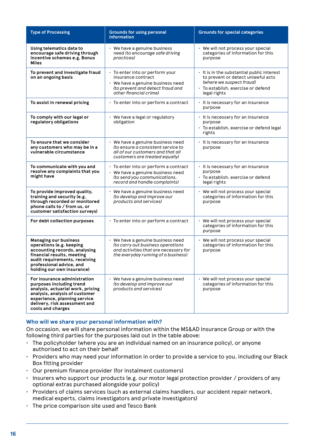| <b>Type of Processing</b>                                                                                                                                                                                             | <b>Grounds for using personal</b><br>information                                                                                                         | <b>Grounds for special categories</b>                                                                                                                            |
|-----------------------------------------------------------------------------------------------------------------------------------------------------------------------------------------------------------------------|----------------------------------------------------------------------------------------------------------------------------------------------------------|------------------------------------------------------------------------------------------------------------------------------------------------------------------|
| Using telematics data to<br>encourage safe driving through<br>incentive schemes e.g. Bonus<br>Miles                                                                                                                   | $\cdot$ We have a genuine business<br>need (to encourage safe driving<br>practices)                                                                      | • We will not process your special<br>categories of information for this<br>purpose                                                                              |
| To prevent and investigate fraud<br>on an ongoing basis                                                                                                                                                               | · To enter into or perform your<br>insurance contract<br>• We have a genuine business need<br>(to prevent and detect fraud and<br>other financial crime) | It is in the substantial public interest<br>to prevent or detect unlawful acts<br>(where we suspect fraud)<br>· To establish, exercise or defend<br>legal rights |
| To assist in renewal pricing                                                                                                                                                                                          | · To enter into or perform a contract                                                                                                                    | · It is necessary for an insurance<br>purpose                                                                                                                    |
| To comply with our legal or<br>regulatory obligations                                                                                                                                                                 | $\cdot$ We have a legal or regulatory<br>obligation                                                                                                      | · It is necessary for an insurance<br>purpose<br>· To establish, exercise or defend legal<br>rights                                                              |
| To ensure that we consider<br>any customers who may be in a<br>vulnerable circumstance                                                                                                                                | · We have a genuine business need<br>(to ensure a consistent service to<br>all of our customers and that all<br>customers are treated equally)           | · It is necessary for an insurance<br>purpose                                                                                                                    |
| To communicate with you and<br>resolve any complaints that you<br>might have                                                                                                                                          | · To enter into or perform a contract<br>$\cdot$ We have a genuine business need<br>(to send you communications,<br>record and handle complaints)        | · It is necessary for an insurance<br>purpose<br>$\cdot$ To establish, exercise or defend<br>legal rights                                                        |
| To provide improved quality,<br>training and security (e.g.<br>through recorded or monitored<br>phone calls to / from us, or<br>customer satisfaction surveys)                                                        | We have a genuine business need<br>(to develop and improve our<br>products and services)                                                                 | • We will not process your special<br>categories of information for this<br>purpose                                                                              |
| For debt collection purposes                                                                                                                                                                                          | · To enter into or perform a contract                                                                                                                    | · We will not process your special<br>categories of information for this<br>purpose                                                                              |
| Managing our business<br>operations (e.g. keeping<br>accounting records, analysing<br>financial results, meeting<br>audit requirements, receiving<br>professional advice, and<br>holding our own insurance)           | · We have a genuine business need<br>(to carry out business operations<br>and activities that are necessary for<br>the everyday running of a business)   | • We will not process your special<br>categories of information for this<br>purpose                                                                              |
| For insurance administration<br>purposes including trend<br>analysis, actuarial work, pricing<br>analysis, analysis of customer<br>experience, planning service<br>delivery, risk assessment and<br>costs and charges | $\cdot$ We have a genuine business need<br>(to develop and improve our<br>products and services)                                                         | • We will not process your special<br>categories of information for this<br>purpose                                                                              |

#### **Who will we share your personal information with?**

On occasion, we will share personal information within the MS&AD Insurance Group or with the following third parties for the purposes laid out in the table above:

- The policyholder (where you are an individual named on an insurance policy), or anyone authorised to act on their behalf
- Providers who may need your information in order to provide a service to you, including our Black Box fitting provider
- Our premium finance provider (for instalment customers)
- Insurers who support our products (e.g. our motor legal protection provider / providers of any optional extras purchased alongside your policy)
- Providers of claims services (such as external claims handlers, our accident repair network, medical experts, claims investigators and private investigators)
- The price comparison site used and Tesco Bank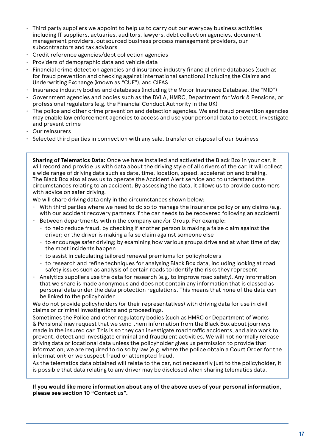- $\cdot$  Third party suppliers we appoint to help us to carry out our everyday business activities including IT suppliers, actuaries, auditors, lawyers, debt collection agencies, document management providers, outsourced business process management providers, our subcontractors and tax advisors
- Credit reference agencies/debt collection agencies
- Providers of demographic data and vehicle data
- Financial crime detection agencies and insurance industry financial crime databases (such as for fraud prevention and checking against international sanctions) including the Claims and Underwriting Exchange (known as "CUE"), and CIFAS
- Insurance industry bodies and databases (including the Motor Insurance Database, the "MID")
- Government agencies and bodies such as the DVLA, HMRC, Department for Work & Pensions, or professional regulators (e.g. the Financial Conduct Authority in the UK)
- The police and other crime prevention and detection agencies. We and fraud prevention agencies may enable law enforcement agencies to access and use your personal data to detect, investigate and prevent crime
- Our reinsurers
- Selected third parties in connection with any sale, transfer or disposal of our business

**Sharing of Telematics Data:** Once we have installed and activated the Black Box in your car, it will record and provide us with data about the driving style of all drivers of the car. It will collect a wide range of driving data such as date, time, location, speed, acceleration and braking. The Black Box also allows us to operate the Accident Alert service and to understand the circumstances relating to an accident. By assessing the data, it allows us to provide customers with advice on safer driving.

We will share driving data only in the circumstances shown below:

- $\cdot$  With third parties where we need to do so to manage the insurance policy or any claims (e.g. with our accident recovery partners if the car needs to be recovered following an accident)
- Between departments within the company and/or Group. For example:
	- to help reduce fraud, by checking if another person is making a false claim against the driver; or the driver is making a false claim against someone else
	- to encourage safer driving; by examining how various groups drive and at what time of day the most incidents happen
	- to assist in calculating tailored renewal premiums for policyholders
	- to research and refine techniques for analysing Black Box data, including looking at road safety issues such as analysis of certain roads to identify the risks they represent
- Analytics suppliers use the data for research (e.g. to improve road safety). Any information that we share is made anonymous and does not contain any information that is classed as personal data under the data protection regulations. This means that none of the data can be linked to the policyholder

We do not provide policyholders (or their representatives) with driving data for use in civil claims or criminal investigations and proceedings.

Sometimes the Police and other regulatory bodies (such as HMRC or Department of Works & Pensions) may request that we send them information from the Black Box about journeys made in the insured car. This is so they can investigate road traffic accidents, and also work to prevent, detect and investigate criminal and fraudulent activities. We will not normally release driving data or locational data unless the policyholder gives us permission to provide that information; we are required to do so by law (e.g. where the police obtain a Court Order for the information); or we suspect fraud or attempted fraud.

As the telematics data obtained will relate to the car, not necessarily just to the policyholder, it is possible that data relating to any driver may be disclosed when sharing telematics data.

**If you would like more information about any of the above uses of your personal information, please see section 10 "Contact us".**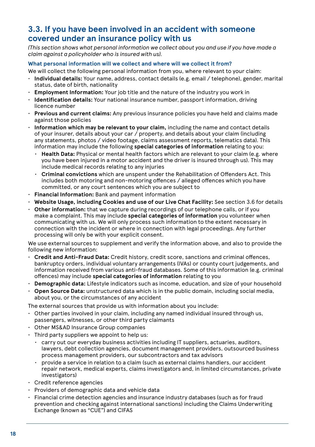### **3.3. If you have been involved in an accident with someone covered under an insurance policy with us**

*(This section shows what personal information we collect about you and use if you have made a claim against a policyholder who is insured with us).*

#### **What personal information will we collect and where will we collect it from?**

We will collect the following personal information from you, where relevant to your claim:

- **Individual details:** Your name, address, contact details (e.g. email / telephone), gender, marital status, date of birth, nationality
- **Employment Information:** Your job title and the nature of the industry you work in
- **Identification details:** Your national insurance number, passport information, driving licence number
- **Previous and current claims:** Any previous insurance policies you have held and claims made against those policies
- **Information which may be relevant to your claim,** including the name and contact details of your insurer, details about your car / property, and details about your claim (including any statements, photos / video footage, claims assessment reports, telematics data). This information may include the following **special categories of information** relating to you:
	- **Health Data:** Physical or mental health factors which are relevant to your claim (e.g. where you have been injured in a motor accident and the driver is insured through us). This may include medical records relating to any injuries
	- **Criminal convictions** which are unspent under the Rehabilitation of Offenders Act. This includes both motoring and non-motoring offences / alleged offences which you have committed, or any court sentences which you are subject to
- **Financial Information:** Bank and payment information
- **Website Usage, including Cookies and use of our Live Chat Facility:** See section 3.6 for details
- **Other information:** that we capture during recordings of our telephone calls, or if you make a complaint. This may include **special categories of information** you volunteer when communicating with us. We will only process such information to the extent necessary in connection with the incident or where in connection with legal proceedings. Any further processing will only be with your explicit consent.

We use external sources to supplement and verify the information above, and also to provide the following new information:

- **Credit and Anti-Fraud Data:** Credit history, credit score, sanctions and criminal offences, bankruptcy orders, individual voluntary arrangements (IVAs) or county court judgements, and information received from various anti-fraud databases. Some of this information (e.g. criminal offences) may include **special categories of information** relating to you
- **Demographic data:** Lifestyle indicators such as income, education, and size of your household
- **Open Source Data:** unstructured data which is in the public domain, including social media, about you, or the circumstances of any accident

The external sources that provide us with information about you include:

- Other parties involved in your claim, including any named individual insured through us, passengers, witnesses, or other third party claimants
- Other MS&AD Insurance Group companies
- $\cdot$  Third party suppliers we appoint to help us:
	- carry out our everyday business activities including IT suppliers, actuaries, auditors, lawyers, debt collection agencies, document management providers, outsourced business process management providers, our subcontractors and tax advisors
	- provide a service in relation to a claim (such as external claims handlers, our accident repair network, medical experts, claims investigators and, in limited circumstances, private investigators)
- Credit reference agencies
- Providers of demographic data and vehicle data
- Financial crime detection agencies and insurance industry databases (such as for fraud prevention and checking against international sanctions) including the Claims Underwriting Exchange (known as "CUE") and CIFAS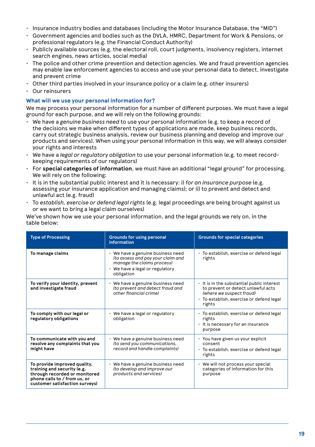- Insurance industry bodies and databases (including the Motor Insurance Database, the "MID")
- Government agencies and bodies such as the DVLA, HMRC, Department for Work & Pensions, or professional regulators (e.g. the Financial Conduct Authority)
- Publicly available sources (e.g. the electoral roll, court judgments, insolvency registers, internet search engines, news articles, social media)
- The police and other crime prevention and detection agencies. We and fraud prevention agencies may enable law enforcement agencies to access and use your personal data to detect, investigate and prevent crime
- $\cdot$  Other third parties involved in your insurance policy or a claim (e.g. other insurers)
- Our reinsurers

#### **What will we use your personal information for?**

We may process your personal information for a number of different purposes. We must have a legal ground for each purpose, and we will rely on the following grounds:

- We have a *genuine business need* to use your personal information (e.g. to keep a record of the decisions we make when different types of applications are made, keep business records, carry out strategic business analysis, review our business planning and develop and improve our products and services). When using your personal information in this way, we will always consider your rights and interests
- We have a *legal or regulatory obligation* to use your personal information (e.g. to meet recordkeeping requirements of our regulators)
- For **special categories of information**, we must have an additional "legal ground" for processing. We will rely on the following:
- It is in the substantial public interest and it is necessary: i) *for an insurance purpose* (e.g. assessing your insurance application and managing claims); or ii) to prevent and detect and unlawful act (e.g. fraud)
- To *establish, exercise or defend legal rights* (e.g. legal proceedings are being brought against us or we want to bring a legal claim ourselves)

We've shown how we use your personal information, and the legal grounds we rely on, in the table below:

| <b>Type of Processing</b>                                                                                                                                      | <b>Grounds for using personal</b><br>information                                                                                                            | <b>Grounds for special categories</b>                                                                                                                              |
|----------------------------------------------------------------------------------------------------------------------------------------------------------------|-------------------------------------------------------------------------------------------------------------------------------------------------------------|--------------------------------------------------------------------------------------------------------------------------------------------------------------------|
| To manage claims                                                                                                                                               | $\cdot$ We have a genuine business need<br>(to assess and pay your claim and<br>manage the claims process)<br>· We have a legal or regulatory<br>obligation | · To establish, exercise or defend legal<br>rights                                                                                                                 |
| To verify your identity, prevent<br>and investigate fraud                                                                                                      | • We have a genuine business need<br>(to prevent and detect fraud and<br>other financial crime)                                                             | . It is in the substantial public interest<br>to prevent or detect unlawful acts<br>(where we suspect fraud)<br>· To establish, exercise or defend legal<br>rights |
| To comply with our legal or<br>regulatory obligations                                                                                                          | • We have a legal or regulatory<br>obligation                                                                                                               | · To establish, exercise or defend legal<br>rights<br>· It is necessary for an insurance<br>purpose                                                                |
| To communicate with you and<br>resolve any complaints that you<br>might have                                                                                   | $\cdot$ We have a genuine business need<br>(to send you communications,<br>record and handle complaints)                                                    | · You have given us your explicit<br>consent<br>· To establish, exercise or defend legal<br>rights                                                                 |
| To provide improved quality,<br>training and security (e.g.<br>through recorded or monitored<br>phone calls to / from us, or<br>customer satisfaction surveys) | • We have a genuine business need<br>(to develop and improve our<br>products and services)                                                                  | · We will not process your special<br>categories of information for this<br>purpose                                                                                |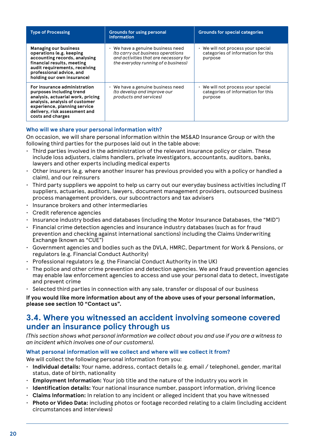| <b>Type of Processing</b>                                                                                                                                                                                             | <b>Grounds for using personal</b><br>information                                                                                                             | <b>Grounds for special categories</b>                                               |
|-----------------------------------------------------------------------------------------------------------------------------------------------------------------------------------------------------------------------|--------------------------------------------------------------------------------------------------------------------------------------------------------------|-------------------------------------------------------------------------------------|
| <b>Managing our business</b><br>operations (e.g. keeping<br>accounting records, analysing<br>financial results, meeting<br>audit requirements, receiving<br>professional advice, and<br>holding our own insurance)    | $\cdot$ We have a genuine business need<br>(to carry out business operations<br>and activities that are necessary for<br>the everyday running of a business) | • We will not process your special<br>categories of information for this<br>purpose |
| For insurance administration<br>purposes including trend<br>analysis, actuarial work, pricing<br>analysis, analysis of customer<br>experience, planning service<br>delivery, risk assessment and<br>costs and charges | $\cdot$ We have a genuine business need<br>(to develop and improve our<br>products and services)                                                             | · We will not process your special<br>categories of information for this<br>purpose |

#### **Who will we share your personal information with?**

On occasion, we will share personal information within the MS&AD Insurance Group or with the following third parties for the purposes laid out in the table above:

- Third parties involved in the administration of the relevant insurance policy or claim. These include loss adjusters, claims handlers, private investigators, accountants, auditors, banks, lawyers and other experts including medical experts
- Other insurers (e.g. where another insurer has previous provided you with a policy or handled a claim), and our reinsurers
- Third party suppliers we appoint to help us carry out our everyday business activities including IT suppliers, actuaries, auditors, lawyers, document management providers, outsourced business process management providers, our subcontractors and tax advisers
- Insurance brokers and other intermediaries
- Credit reference agencies
- Insurance industry bodies and databases (including the Motor Insurance Databases, the "MID")
- Financial crime detection agencies and insurance industry databases (such as for fraud prevention and checking against international sanctions) including the Claims Underwriting Exchange (known as "CUE")
- Government agencies and bodies such as the DVLA, HMRC, Department for Work & Pensions, or regulators (e.g. Financial Conduct Authority)
- Professional regulators (e.g. the Financial Conduct Authority in the UK)
- The police and other crime prevention and detection agencies. We and fraud prevention agencies may enable law enforcement agencies to access and use your personal data to detect, investigate and prevent crime
- Selected third parties in connection with any sale, transfer or disposal of our business

**If you would like more information about any of the above uses of your personal information, please see section 10 "Contact us".**

### **3.4. Where you witnessed an accident involving someone covered under an insurance policy through us**

*(This section shows what personal information we collect about you and use if you are a witness to an incident which involves one of our customers).*

#### **What personal information will we collect and where will we collect it from?**

We will collect the following personal information from you:

- **Individual details:** Your name, address, contact details (e.g. email / telephone), gender, marital status, date of birth, nationality
- **Employment Information:** Your job title and the nature of the industry you work in
- **Identification details:** Your national insurance number, passport information, driving licence
- **Claims Information:** In relation to any incident or alleged incident that you have witnessed
- **Photo or Video Data:** including photos or footage recorded relating to a claim (including accident circumstances and interviews)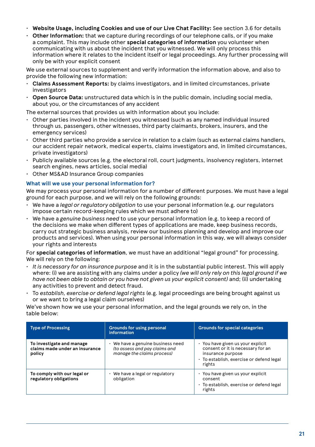- **Website Usage, including Cookies and use of our Live Chat Facility:** See section 3.6 for details
- **Other Information:** that we capture during recordings of our telephone calls, or if you make a complaint. This may include other **special categories of information** you volunteer when communicating with us about the incident that you witnessed. We will only process this information where it relates to the incident itself or legal proceedings. Any further processing will only be with your explicit consent

We use external sources to supplement and verify information the information above, and also to provide the following new information:

- **Claims Assessment Reports:** by claims investigators, and in limited circumstances, private investigators
- **Open Source Data:** unstructured data which is in the public domain, including social media, about you, or the circumstances of any accident

The external sources that provides us with information about you include:

- Other parties involved in the incident you witnessed (such as any named individual insured through us, passengers, other witnesses, third party claimants, brokers, insurers, and the emergency services)
- $\cdot$  Other third parties who provide a service in relation to a claim (such as external claims handlers, our accident repair network, medical experts, claims investigators and, in limited circumstances, private investigators)
- Publicly available sources (e.g. the electoral roll, court judgments, insolvency registers, internet search engines, news articles, social media)
- Other MS&AD Insurance Group companies

#### **What will we use your personal information for?**

We may process your personal information for a number of different purposes. We must have a legal ground for each purpose, and we will rely on the following grounds:

- We have a *legal or regulatory obligation* to use your personal information (e.g. our regulators impose certain record-keeping rules which we must adhere to)
- We have a *genuine business need* to use your personal information (e.g. to keep a record of the decisions we make when different types of applications are made, keep business records, carry out strategic business analysis, review our business planning and develop and improve our products and services). When using your personal information in this way, we will always consider your rights and interests

For **special categories of information**, we must have an additional "legal ground" for processing. We will rely on the following:

- *It is necessary for an insurance purpose* and it is in the substantial public interest. This will apply where: (i) we are assisting with any claims under a policy *(we will only rely on this legal ground if we have not been able to obtain or you have not given us your explicit consent)* and; (ii) undertaking any activities to prevent and detect fraud.
- To *establish, exercise or defend legal rights* (e.g. legal proceedings are being brought against us or we want to bring a legal claim ourselves)

We've shown how we use your personal information, and the legal grounds we rely on, in the table below:

| <b>Type of Processing</b>                                             | <b>Grounds for using personal</b><br>information                                                 | <b>Grounds for special categories</b>                                                                                                             |
|-----------------------------------------------------------------------|--------------------------------------------------------------------------------------------------|---------------------------------------------------------------------------------------------------------------------------------------------------|
| To investigate and manage<br>claims made under an insurance<br>policy | • We have a genuine business need<br>(to assess and pay claims and<br>manage the claims process) | · You have given us your explicit<br>consent or it is necessary for an<br>insurance purpose<br>· To establish, exercise or defend legal<br>rights |
| To comply with our legal or<br>regulatory obligations                 | $\cdot$ We have a legal or regulatory<br>obligation                                              | · You have given us your explicit<br>consent<br>· To establish, exercise or defend legal<br>rights                                                |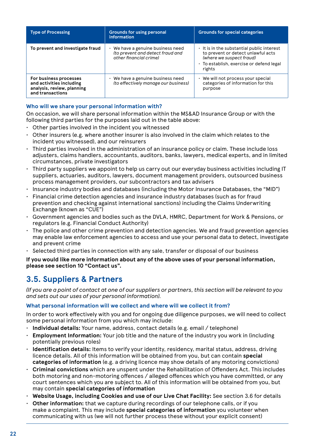| <b>Type of Processing</b>                                                                            | <b>Grounds for using personal</b><br>information                                                | <b>Grounds for special categories</b>                                                                                                                              |
|------------------------------------------------------------------------------------------------------|-------------------------------------------------------------------------------------------------|--------------------------------------------------------------------------------------------------------------------------------------------------------------------|
| To prevent and investigate fraud                                                                     | • We have a genuine business need<br>(to prevent and detect fraud and<br>other financial crime) | . It is in the substantial public interest<br>to prevent or detect unlawful acts<br>(where we suspect fraud)<br>· To establish, exercise or defend legal<br>rights |
| For business processes<br>and activities including<br>analysis, review, planning<br>and transactions | We have a genuine business need<br>(to effectively manage our business)                         | We will not process your special<br>categories of information for this<br>purpose                                                                                  |

#### **Who will we share your personal information with?**

On occasion, we will share personal information within the MS&AD Insurance Group or with the following third parties for the purposes laid out in the table above:

- Other parties involved in the incident you witnessed
- Other insurers (e.g. where another insurer is also involved in the claim which relates to the incident you witnessed), and our reinsurers
- Third parties involved in the administration of an insurance policy or claim. These include loss adjusters, claims handlers, accountants, auditors, banks, lawyers, medical experts, and in limited circumstances, private investigators
- Third party suppliers we appoint to help us carry out our everyday business activities including IT suppliers, actuaries, auditors, lawyers, document management providers, outsourced business process management providers, our subcontractors and tax advisers
- Insurance industry bodies and databases (including the Motor Insurance Databases, the "MID")
- Financial crime detection agencies and insurance industry databases (such as for fraud prevention and checking against international sanctions) including the Claims Underwriting Exchange (known as "CUE")
- Government agencies and bodies such as the DVLA, HMRC, Department for Work & Pensions, or regulators (e.g. Financial Conduct Authority)
- The police and other crime prevention and detection agencies. We and fraud prevention agencies may enable law enforcement agencies to access and use your personal data to detect, investigate and prevent crime
- Selected third parties in connection with any sale, transfer or disposal of our business

**If you would like more information about any of the above uses of your personal information, please see section 10 "Contact us".**

# **3.5. Suppliers & Partners**

*(If you are a point of contact at one of our suppliers or partners, this section will be relevant to you and sets out our uses of your personal information).*

#### **What personal information will we collect and where will we collect it from?**

In order to work effectively with you and for ongoing due diligence purposes, we will need to collect some personal information from you which may include:

- **Individual details:** Your name, address, contact details (e.g. email / telephone)
- **Employment Information:** Your job title and the nature of the industry you work in (including potentially previous roles)
- **Identification details:** Items to verify your identity, residency, marital status, address, driving licence details. All of this information will be obtained from you, but can contain **special categories of information** (e.g. a driving licence may show details of any motoring convictions)
- **Criminal convictions** which are unspent under the Rehabilitation of Offenders Act. This includes both motoring and non-motoring offences / alleged offences which you have committed, or any court sentences which you are subject to. All of this information will be obtained from you, but may contain **special categories of information**
- **Website Usage, including Cookies and use of our Live Chat Facility:** See section 3.6 for details
- **Other information:** that we capture during recordings of our telephone calls, or if you make a complaint. This may include **special categories of information** you volunteer when communicating with us (we will not further process these without your explicit consent)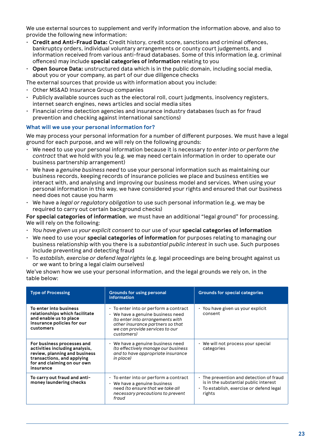We use external sources to supplement and verify information the information above, and also to provide the following new information:

- **Credit and Anti-Fraud Data:** Credit history, credit score, sanctions and criminal offences, bankruptcy orders, individual voluntary arrangements or county court judgements, and information received from various anti-fraud databases. Some of this information (e.g. criminal offences) may include **special categories of information** relating to you
- **Open Source Data:** unstructured data which is in the public domain, including social media, about you or your company, as part of our due diligence checks

The external sources that provide us with information about you include:

- Other MS&AD Insurance Group companies
- Publicly available sources such as the electoral roll, court judgments, insolvency registers, internet search engines, news articles and social media sites
- Financial crime detection agencies and insurance industry databases (such as for fraud prevention and checking against international sanctions)

#### **What will we use your personal information for?**

We may process your personal information for a number of different purposes. We must have a legal ground for each purpose, and we will rely on the following grounds:

- We need to use your personal information because it is necessary *to enter into or perform the contract* that we hold with you (e.g. we may need certain information in order to operate our business partnership arrangement)
- We have a *genuine business need* to use your personal information such as maintaining our business records, keeping records of insurance policies we place and business entities we interact with, and analysing and improving our business model and services. When using your personal information in this way, we have considered your rights and ensured that our business need does not cause you harm
- We have a *legal or regulatory obligation* to use such personal information (e.g. we may be required to carry out certain background checks)

**For special categories of information**, we must have an additional "legal ground" for processing. We will rely on the following:

- *You have given us your explicit consent* to our use of your **special categories of information**
- We need to use your **special categories of information** for purposes relating to managing our business relationship with you there is a *substantial public interest* in such use. Such purposes include preventing and detecting fraud
- To *establish, exercise or defend legal rights* (e.g. legal proceedings are being brought against us or we want to bring a legal claim ourselves)

We've shown how we use your personal information, and the legal grounds we rely on, in the table below:

| <b>Type of Processing</b>                                                                                                                                               | <b>Grounds for using personal</b><br>information                                                                                                                                                         | <b>Grounds for special categories</b>                                                                                                |
|-------------------------------------------------------------------------------------------------------------------------------------------------------------------------|----------------------------------------------------------------------------------------------------------------------------------------------------------------------------------------------------------|--------------------------------------------------------------------------------------------------------------------------------------|
| To enter into business<br>relationships which facilitate<br>and enable us to place<br>insurance policies for our<br>customers                                           | · To enter into or perform a contract<br>$\cdot$ We have a genuine business need<br>(to enter into arrangements with<br>other insurance partners so that<br>we can provide services to our<br>customers) | · You have given us your explicit<br>consent                                                                                         |
| For business processes and<br>activities including analysis,<br>review, planning and business<br>transactions, and applying<br>for and claiming on our own<br>insurance | $\cdot$ We have a genuine business need<br>(to effectively manage our business<br>and to have appropriate insurance<br>in place)                                                                         | We will not process your special<br>categories                                                                                       |
| To carry out fraud and anti-<br>money laundering checks                                                                                                                 | $\cdot$ To enter into or perform a contract<br>$\cdot$ We have a genuine business<br>need (to ensure that we take all<br>necessary precautions to prevent<br>fraud                                       | The prevention and detection of fraud<br>is in the substantial public interest<br>· To establish, exercise or defend legal<br>rights |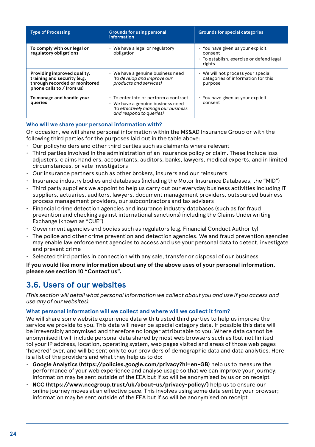| <b>Type of Processing</b>                                                                                                | <b>Grounds for using personal</b><br>information                                                                                                   | <b>Grounds for special categories</b>                                                              |
|--------------------------------------------------------------------------------------------------------------------------|----------------------------------------------------------------------------------------------------------------------------------------------------|----------------------------------------------------------------------------------------------------|
| To comply with our legal or<br>regulatory obligations                                                                    | $\cdot$ We have a legal or regulatory<br>obligation                                                                                                | · You have given us your explicit<br>consent<br>· To establish, exercise or defend legal<br>rights |
| Providing improved quality,<br>training and security (e.g.<br>through recorded or monitored<br>phone calls to / from us) | • We have a genuine business need<br>(to develop and improve our<br>products and services)                                                         | • We will not process your special<br>categories of information for this<br>purpose                |
| To manage and handle your<br>queries                                                                                     | · To enter into or perform a contract<br>$\cdot$ We have a genuine business need<br>(to effectively manage our business<br>and respond to queries) | · You have given us your explicit<br>consent                                                       |

#### **Who will we share your personal information with?**

On occasion, we will share personal information within the MS&AD Insurance Group or with the following third parties for the purposes laid out in the table above:

- Our policyholders and other third parties such as claimants where relevant
- Third parties involved in the administration of an insurance policy or claim. These include loss adjusters, claims handlers, accountants, auditors, banks, lawyers, medical experts, and in limited circumstances, private investigators
- Our insurance partners such as other brokers, insurers and our reinsurers
- Insurance industry bodies and databases (including the Motor Insurance Databases, the "MID")
- Third party suppliers we appoint to help us carry out our everyday business activities including IT suppliers, actuaries, auditors, lawyers, document management providers, outsourced business process management providers, our subcontractors and tax advisers
- Financial crime detection agencies and insurance industry databases (such as for fraud prevention and checking against international sanctions) including the Claims Underwriting Exchange (known as "CUE")
- Government agencies and bodies such as regulators (e.g. Financial Conduct Authority)
- The police and other crime prevention and detection agencies. We and fraud prevention agencies may enable law enforcement agencies to access and use your personal data to detect, investigate and prevent crime
- Selected third parties in connection with any sale, transfer or disposal of our business

**If you would like more information about any of the above uses of your personal information, please see section 10 "Contact us".**

# **3.6. Users of our websites**

*(This section will detail what personal information we collect about you and use if you access and use any of our websites).*

#### **What personal information will we collect and where will we collect it from?**

We will share some website experience data with trusted third parties to help us improve the service we provide to you. This data will never be special category data. If possible this data will be irreversibly anonymised and therefore no longer attributable to you. Where data cannot be anonymised it will include personal data shared by most web browsers such as (but not limited to) your IP address, location, operating system, web pages visited and areas of those web pages 'hovered' over, and will be sent only to our providers of demographic data and data analytics. Here is a list of the providers and what they help us to do:

- **Google Analytics (https://policies.google.com/privacy?hl=en-GB)** help us to measure the performance of your web experience and analyse usage so that we can improve your journey; information may be sent outside of the EEA but if so will be anonymised by us or on receipt
- **NCC (https://www.nccgroup.trust/uk/about-us/privacy-policy/)** help us to ensure our online journey moves at an effective pace. This involves using some data sent by your browser; information may be sent outside of the EEA but if so will be anonymised on receipt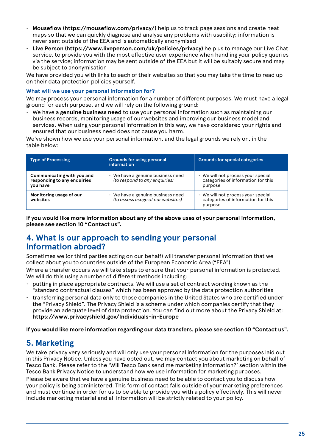- **Mouseflow (https://mouseflow.com/privacy/)** help us to track page sessions and create heat maps so that we can quickly diagnose and analyse any problems with usability; information is never sent outside of the EEA and is automatically anonymised
- **Live Person (https://www.liveperson.com/uk/policies/privacy)** help us to manage our Live Chat service, to provide you with the most effective user experience when handling your policy queries via the service; information may be sent outside of the EEA but it will be suitably secure and may be subject to anonymisation

We have provided you with links to each of their websites so that you may take the time to read up on their data protection policies yourself.

#### **What will we use your personal information for?**

We may process your personal information for a number of different purposes. We must have a legal ground for each purpose, and we will rely on the following ground:

• We have a **genuine business need** to use your personal information such as maintaining our business records, monitoring usage of our websites and improving our business model and services. When using your personal information in this way, we have considered your rights and ensured that our business need does not cause you harm.

We've shown how we use your personal information, and the legal grounds we rely on, in the table below:

| <b>Type of Processing</b>                                             | <b>Grounds for using personal</b><br>information                     | <b>Grounds for special categories</b>                                             |
|-----------------------------------------------------------------------|----------------------------------------------------------------------|-----------------------------------------------------------------------------------|
| Communicating with you and<br>responding to any enquiries<br>vou have | We have a genuine business need<br>(to respond to any enquiries)     | We will not process your special<br>categories of information for this<br>purpose |
| Monitoring usage of our<br>websites                                   | We have a genuine business need<br>(to assess usage of our websites) | We will not process your special<br>categories of information for this<br>purpose |

**If you would like more information about any of the above uses of your personal information, please see section 10 "Contact us".**

## **4. What is our approach to sending your personal information abroad?**

Sometimes we (or third parties acting on our behalf) will transfer personal information that we collect about you to countries outside of the European Economic Area ("EEA").

Where a transfer occurs we will take steps to ensure that your personal information is protected. We will do this using a number of different methods including:

- $\cdot$  putting in place appropriate contracts. We will use a set of contract wording known as the "standard contractual clauses" which has been approved by the data protection authorities
- transferring personal data only to those companies in the United States who are certified under the "Privacy Shield". The Privacy Shield is a scheme under which companies certify that they provide an adequate level of data protection. You can find out more about the Privacy Shield at: **https://www.privacyshield.gov/Individuals-in-Europe**

**If you would like more information regarding our data transfers, please see section 10 "Contact us".**

# **5. Marketing**

We take privacy very seriously and will only use your personal information for the purposes laid out in this Privacy Notice. Unless you have opted out, we may contact you about marketing on behalf of Tesco Bank. Please refer to the 'Will Tesco Bank send me marketing information?' section within the Tesco Bank Privacy Notice to understand how we use information for marketing purposes.

Please be aware that we have a genuine business need to be able to contact you to discuss how your policy is being administered. This form of contact falls outside of your marketing preferences and must continue in order for us to be able to provide you with a policy effectively. This will never include marketing material and all information will be strictly related to your policy.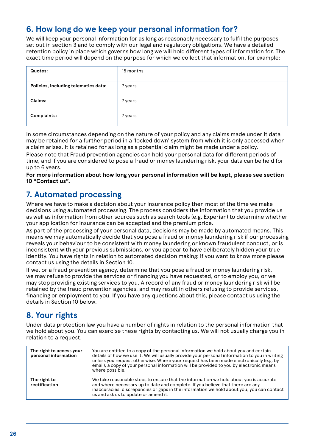# **6. How long do we keep your personal information for?**

We will keep your personal information for as long as reasonably necessary to fulfil the purposes set out in section 3 and to comply with our legal and regulatory obligations. We have a detailed retention policy in place which governs how long we will hold different types of information for. The exact time period will depend on the purpose for which we collect that information, for example:

| Quotes:                              | 15 months |
|--------------------------------------|-----------|
| Policies, including telematics data: | 7 years   |
| Claims:                              | 7 years   |
| Complaints:                          | 7 years   |

In some circumstances depending on the nature of your policy and any claims made under it data may be retained for a further period in a 'locked down' system from which it is only accessed when a claim arises. It is retained for as long as a potential claim might be made under a policy.

Please note that Fraud prevention agencies can hold your personal data for different periods of time, and if you are considered to pose a fraud or money laundering risk, your data can be held for up to 6 years.

**For more information about how long your personal information will be kept, please see section 10 "Contact us".**

# **7. Automated processing**

Where we have to make a decision about your insurance policy then most of the time we make decisions using automated processing. The process considers the information that you provide us as well as information from other sources such as search tools (e.g. Experian) to determine whether your application for insurance can be accepted and the premium price.

As part of the processing of your personal data, decisions may be made by automated means. This means we may automatically decide that you pose a fraud or money laundering risk if our processing reveals your behaviour to be consistent with money laundering or known fraudulent conduct, or is inconsistent with your previous submissions, or you appear to have deliberately hidden your true identity. You have rights in relation to automated decision making: if you want to know more please contact us using the details in Section 10.

If we, or a fraud prevention agency, determine that you pose a fraud or money laundering risk, we may refuse to provide the services or financing you have requested, or to employ you, or we may stop providing existing services to you. A record of any fraud or money laundering risk will be retained by the fraud prevention agencies, and may result in others refusing to provide services, financing or employment to you. If you have any questions about this, please contact us using the details in Section 10 below.

# **8. Your rights**

Under data protection law you have a number of rights in relation to the personal information that we hold about you. You can exercise these rights by contacting us. We will not usually charge you in relation to a request.

| The right to access your<br>personal information | You are entitled to a copy of the personal information we hold about you and certain<br>details of how we use it. We will usually provide your personal information to you in writing<br>unless you request otherwise. Where your request has been made electronically (e.g. by<br>email), a copy of your personal information will be provided to you by electronic means<br>where possible. |
|--------------------------------------------------|-----------------------------------------------------------------------------------------------------------------------------------------------------------------------------------------------------------------------------------------------------------------------------------------------------------------------------------------------------------------------------------------------|
| The right to<br>rectification                    | We take reasonable steps to ensure that the information we hold about you is accurate<br>and where necessary up to date and complete. If you believe that there are any<br>inaccuracies, discrepancies or gaps in the information we hold about you, you can contact<br>us and ask us to update or amend it.                                                                                  |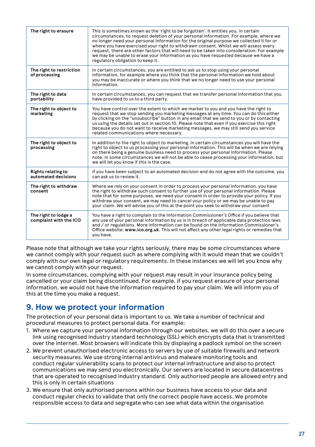| The right to erasure                             | This is sometimes known as the 'right to be forgotten'. It entitles you, in certain<br>circumstances, to request deletion of your personal information. For example, where we<br>no longer need your personal information for the original purpose we collected it for or<br>where you have exercised your right to withdrawn consent. Whilst we will assess every<br>request, there are other factors that will need to be taken into consideration. For example<br>we may be unable to erase your information as you have requested because we have a<br>regulatory obligation to keep it. |
|--------------------------------------------------|----------------------------------------------------------------------------------------------------------------------------------------------------------------------------------------------------------------------------------------------------------------------------------------------------------------------------------------------------------------------------------------------------------------------------------------------------------------------------------------------------------------------------------------------------------------------------------------------|
| The right to restriction<br>of processing        | In certain circumstances, you are entitled to ask us to stop using your personal<br>information, for example where you think that the personal information we hold about<br>you may be inaccurate or where you think that we no longer need to use your personal<br>information.                                                                                                                                                                                                                                                                                                             |
| The right to data<br>portability                 | In certain circumstances, you can request that we transfer personal information that you<br>have provided to us to a third party.                                                                                                                                                                                                                                                                                                                                                                                                                                                            |
| The right to object to<br>marketing              | You have control over the extent to which we market to you and you have the right to<br>request that we stop sending you marketing messages at any time. You can do this either<br>by clicking on the "unsubscribe" button in any email that we send to you or by contacting<br>us using the details set out in section 10. Please note that even if you exercise this right<br>because you do not want to receive marketing messages, we may still send you service<br>related communications where necessary.                                                                              |
| The right to object to<br>processing             | In addition to the right to object to marketing, in certain circumstances you will have the<br>right to object to us processing your personal information. This will be when we are relying<br>on there being a genuine business need to process your personal information. Please<br>note, in some circumstances we will not be able to cease processing your information, but<br>we will let you know if this is the case.                                                                                                                                                                 |
| <b>Rights relating to</b><br>automated decisions | If you have been subject to an automated decision and do not agree with the outcome, you<br>can ask us to review it                                                                                                                                                                                                                                                                                                                                                                                                                                                                          |
| The right to withdraw<br>consent                 | Where we rely on your consent in order to process your personal information, you have<br>the right to withdraw such consent to further use of your personal information. Please<br>note that for some purposes, we need your consent in order to provide your policy. If you<br>withdraw your consent, we may need to cancel your policy or we may be unable to pay<br>your claim. We will advise you of this at the point you seek to withdraw your consent                                                                                                                                 |
| The right to lodge a<br>complaint with the ICO   | You have a right to complain to the Information Commissioner's Office if you believe that<br>any use of your personal information by us is in breach of applicable data protection laws<br>and / or regulations. More information can be found on the Information Commissioner's<br>Office website: www.ico.org.uk. This will not affect any other legal rights or remedies that<br>you have.                                                                                                                                                                                                |

Please note that although we take your rights seriously, there may be some circumstances where we cannot comply with your request such as where complying with it would mean that we couldn't comply with our own legal or regulatory requirements. In these instances we will let you know why we cannot comply with your request.

In some circumstances, complying with your request may result in your insurance policy being cancelled or your claim being discontinued. For example, if you request erasure of your personal information, we would not have the information required to pay your claim. We will inform you of this at the time you make a request.

# **9. How we protect your information**

The protection of your personal data is important to us. We take a number of technical and procedural measures to protect personal data. For example:

- 1. Where we capture your personal information through our websites, we will do this over a secure link using recognised industry standard technology (SSL) which encrypts data that is transmitted over the internet. Most browsers will indicate this by displaying a padlock symbol on the screen
- 2. We prevent unauthorised electronic access to servers by use of suitable firewalls and network security measures. We use strong internal antivirus and malware monitoring tools and conduct regular vulnerability scans to protect our internal infrastructure and also to protect communications we may send you electronically. Our servers are located in secure datacentres that are operated to recognised industry standard. Only authorised people are allowed entry and this is only in certain situations
- 3. We ensure that only authorised persons within our business have access to your data and conduct regular checks to validate that only the correct people have access. We promote responsible access to data and segregate who can see what data within the organisation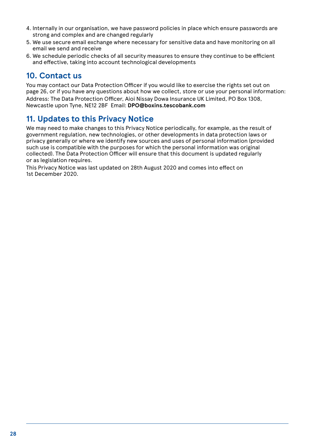- 4. Internally in our organisation, we have password policies in place which ensure passwords are strong and complex and are changed regularly
- 5. We use secure email exchange where necessary for sensitive data and have monitoring on all email we send and receive
- 6. We schedule periodic checks of all security measures to ensure they continue to be efficient and effective, taking into account technological developments

# **10. Contact us**

You may contact our Data Protection Officer if you would like to exercise the rights set out on page 26, or if you have any questions about how we collect, store or use your personal information: Address: The Data Protection Officer, Aioi Nissay Dowa Insurance UK Limited, PO Box 1308, Newcastle upon Tyne, NE12 2BF Email: **DPO@boxins.tescobank.com**

# **11. Updates to this Privacy Notice**

We may need to make changes to this Privacy Notice periodically, for example, as the result of government regulation, new technologies, or other developments in data protection laws or privacy generally or where we identify new sources and uses of personal information (provided such use is compatible with the purposes for which the personal information was original collected). The Data Protection Officer will ensure that this document is updated regularly or as legislation requires.

This Privacy Notice was last updated on 28th August 2020 and comes into effect on 1st December 2020.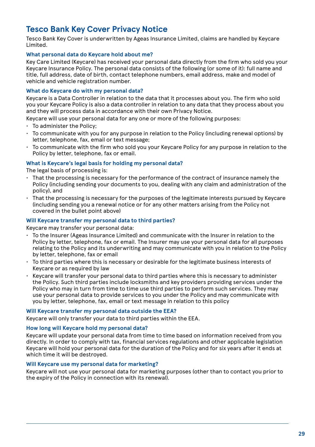# **Tesco Bank Key Cover Privacy Notice**

Tesco Bank Key Cover is underwritten by Ageas Insurance Limited, claims are handled by Keycare Limited.

#### **What personal data do Keycare hold about me?**

Key Care Limited (Keycare) has received your personal data directly from the firm who sold you your Keycare Insurance Policy. The personal data consists of the following (or some of it): full name and title, full address, date of birth, contact telephone numbers, email address, make and model of vehicle and vehicle registration number.

#### **What do Keycare do with my personal data?**

Keycare is a Data Controller in relation to the data that it processes about you. The firm who sold you your Keycare Policy is also a data controller in relation to any data that they process about you and they will process data in accordance with their own Privacy Notice.

Keycare will use your personal data for any one or more of the following purposes:

- To administer the Policy;
- To communicate with you for any purpose in relation to the Policy (including renewal options) by letter, telephone, fax, email or text message;
- To communicate with the firm who sold you your Keycare Policy for any purpose in relation to the Policy by letter, telephone, fax or email.

#### **What is Keycare's legal basis for holding my personal data?**

The legal basis of processing is:

- That the processing is necessary for the performance of the contract of insurance namely the Policy (including sending your documents to you, dealing with any claim and administration of the policy), and
- That the processing is necessary for the purposes of the legitimate interests pursued by Keycare (including sending you a renewal notice or for any other matters arising from the Policy not covered in the bullet point above)

#### **Will Keycare transfer my personal data to third parties?**

Keycare may transfer your personal data:

- To the Insurer (Ageas Insurance Limited) and communicate with the Insurer in relation to the Policy by letter, telephone, fax or email. The Insurer may use your personal data for all purposes relating to the Policy and its underwriting and may communicate with you in relation to the Policy by letter, telephone, fax or email
- To third parties where this is necessary or desirable for the legitimate business interests of Keycare or as required by law
- Keycare will transfer your personal data to third parties where this is necessary to administer the Policy. Such third parties include locksmiths and key providers providing services under the Policy who may in turn from time to time use third parties to perform such services. They may use your personal data to provide services to you under the Policy and may communicate with you by letter, telephone, fax, email or text message in relation to this policy

#### **Will Keycare transfer my personal data outside the EEA?**

Keycare will only transfer your data to third parties within the EEA.

#### **How long will Keycare hold my personal data?**

Keycare will update your personal data from time to time based on information received from you directly. In order to comply with tax, financial services regulations and other applicable legislation Keycare will hold your personal data for the duration of the Policy and for six years after it ends at which time it will be destroyed.

#### **Will Keycare use my personal data for marketing?**

Keycare will not use your personal data for marketing purposes (other than to contact you prior to the expiry of the Policy in connection with its renewal).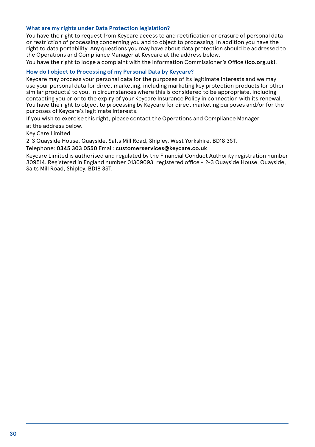#### **What are my rights under Data Protection legislation?**

You have the right to request from Keycare access to and rectification or erasure of personal data or restriction of processing concerning you and to object to processing. In addition you have the right to data portability. Any questions you may have about data protection should be addressed to the Operations and Compliance Manager at Keycare at the address below.

You have the right to lodge a complaint with the Information Commissioner's Office **(ico.org.uk)**.

#### **How do I object to Processing of my Personal Data by Keycare?**

Keycare may process your personal data for the purposes of its legitimate interests and we may use your personal data for direct marketing, including marketing key protection products (or other similar products) to you, in circumstances where this is considered to be appropriate, including contacting you prior to the expiry of your Keycare Insurance Policy in connection with its renewal. You have the right to object to processing by Keycare for direct marketing purposes and/or for the purposes of Keycare's legitimate interests.

If you wish to exercise this right, please contact the Operations and Compliance Manager

at the address below.

Key Care Limited

2-3 Quayside House, Quayside, Salts Mill Road, Shipley, West Yorkshire, BD18 3ST.

#### Telephone: **0345 303 0550** Email: **customerservices@keycare.co.uk**

Keycare Limited is authorised and regulated by the Financial Conduct Authority registration number 309514. Registered in England number 01309093, registered office - 2-3 Quayside House, Quayside, Salts Mill Road, Shipley, BD18 3ST.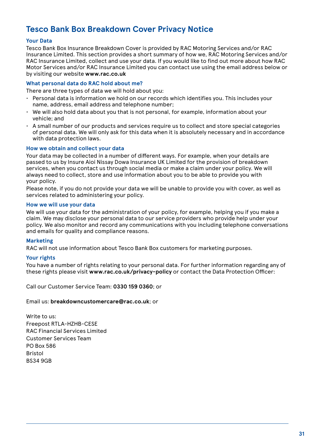# **Tesco Bank Box Breakdown Cover Privacy Notice**

#### **Your Data**

Tesco Bank Box Insurance Breakdown Cover is provided by RAC Motoring Services and/or RAC Insurance Limited. This section provides a short summary of how we, RAC Motoring Services and/or RAC Insurance Limited, collect and use your data. If you would like to find out more about how RAC Motor Services and/or RAC Insurance Limited you can contact use using the email address below or by visiting our website **www.rac.co.uk**

#### **What personal data do RAC hold about me?**

There are three types of data we will hold about you:

- Personal data is information we hold on our records which identifies you. This includes your name, address, email address and telephone number;
- We will also hold data about you that is not personal, for example, information about your vehicle; and
- A small number of our products and services require us to collect and store special categories of personal data. We will only ask for this data when it is absolutely necessary and in accordance with data protection laws.

#### **How we obtain and collect your data**

Your data may be collected in a number of different ways. For example, when your details are passed to us by Insure Aioi Nissay Dowa Insurance UK Limited for the provision of breakdown services, when you contact us through social media or make a claim under your policy. We will always need to collect, store and use information about you to be able to provide you with your policy.

Please note, if you do not provide your data we will be unable to provide you with cover, as well as services related to administering your policy.

#### **How we will use your data**

We will use your data for the administration of your policy, for example, helping you if you make a claim. We may disclose your personal data to our service providers who provide help under your policy. We also monitor and record any communications with you including telephone conversations and emails for quality and compliance reasons.

#### **Marketing**

RAC will not use information about Tesco Bank Box customers for marketing purposes.

#### **Your rights**

You have a number of rights relating to your personal data. For further information regarding any of these rights please visit **www.rac.co.uk/privacy-policy** or contact the Data Protection Officer:

Call our Customer Service Team: **0330 159 0360**; or

#### Email us: **breakdowncustomercare@rac.co.uk**; or

Write to us: Freepost RTLA-HZHB-CESE RAC Financial Services Limited Customer Services Team PO Box 586 Bristol BS34 9GB